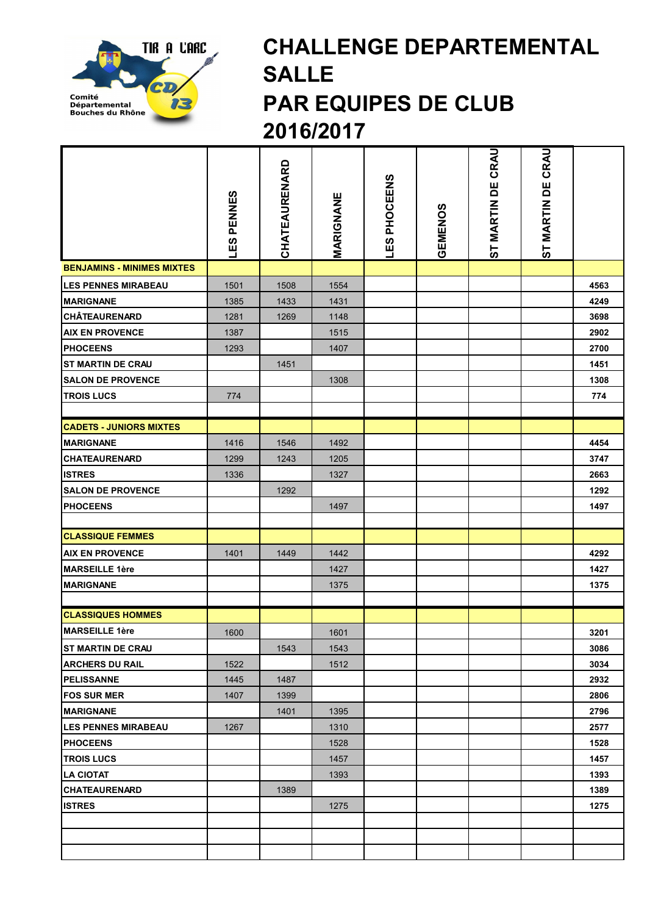

## CHALLENGE DEPARTEMENTAL SALLE PAR EQUIPES DE CLUB 2016/2017

|                                   | <b>LES PENNES</b> | CHATEAURENARD | MARIGNANE | LES PHOCEENS | GEMENOS | CRAU<br>ST MARTIN DE | ST MARTIN DE CRAU |      |
|-----------------------------------|-------------------|---------------|-----------|--------------|---------|----------------------|-------------------|------|
| <b>BENJAMINS - MINIMES MIXTES</b> |                   |               |           |              |         |                      |                   |      |
| <b>LES PENNES MIRABEAU</b>        | 1501              | 1508          | 1554      |              |         |                      |                   | 4563 |
| <b>MARIGNANE</b>                  | 1385              | 1433          | 1431      |              |         |                      |                   | 4249 |
| <b>CHÂTEAURENARD</b>              | 1281              | 1269          | 1148      |              |         |                      |                   | 3698 |
| <b>AIX EN PROVENCE</b>            | 1387              |               | 1515      |              |         |                      |                   | 2902 |
| <b>PHOCEENS</b>                   | 1293              |               | 1407      |              |         |                      |                   | 2700 |
| <b>ST MARTIN DE CRAU</b>          |                   | 1451          |           |              |         |                      |                   | 1451 |
| <b>SALON DE PROVENCE</b>          |                   |               | 1308      |              |         |                      |                   | 1308 |
| <b>TROIS LUCS</b>                 | 774               |               |           |              |         |                      |                   | 774  |
|                                   |                   |               |           |              |         |                      |                   |      |
| <b>CADETS - JUNIORS MIXTES</b>    |                   |               |           |              |         |                      |                   |      |
| <b>MARIGNANE</b>                  | 1416              | 1546          | 1492      |              |         |                      |                   | 4454 |
| <b>CHATEAURENARD</b>              | 1299              | 1243          | 1205      |              |         |                      |                   | 3747 |
| <b>ISTRES</b>                     | 1336              |               | 1327      |              |         |                      |                   | 2663 |
| <b>SALON DE PROVENCE</b>          |                   | 1292          |           |              |         |                      |                   | 1292 |
| <b>PHOCEENS</b>                   |                   |               | 1497      |              |         |                      |                   | 1497 |
|                                   |                   |               |           |              |         |                      |                   |      |
| <b>CLASSIQUE FEMMES</b>           |                   |               |           |              |         |                      |                   |      |
| <b>AIX EN PROVENCE</b>            | 1401              | 1449          | 1442      |              |         |                      |                   | 4292 |
| <b>MARSEILLE 1ère</b>             |                   |               | 1427      |              |         |                      |                   | 1427 |
| <b>MARIGNANE</b>                  |                   |               | 1375      |              |         |                      |                   | 1375 |
|                                   |                   |               |           |              |         |                      |                   |      |
| <b>CLASSIQUES HOMMES</b>          |                   |               |           |              |         |                      |                   |      |
| <b>MARSEILLE 1ère</b>             | 1600              |               | 1601      |              |         |                      |                   | 3201 |
| <b>IST MARTIN DE CRAU</b>         |                   | 1543          | 1543      |              |         |                      |                   | 3086 |
| <b>ARCHERS DU RAIL</b>            | 1522              |               | 1512      |              |         |                      |                   | 3034 |
| <b>PELISSANNE</b>                 | 1445              | 1487          |           |              |         |                      |                   | 2932 |
| <b>FOS SUR MER</b>                | 1407              | 1399          |           |              |         |                      |                   | 2806 |
| <b>MARIGNANE</b>                  |                   | 1401          | 1395      |              |         |                      |                   | 2796 |
| <b>LES PENNES MIRABEAU</b>        | 1267              |               | 1310      |              |         |                      |                   | 2577 |
| <b>PHOCEENS</b>                   |                   |               | 1528      |              |         |                      |                   | 1528 |
| <b>TROIS LUCS</b>                 |                   |               | 1457      |              |         |                      |                   | 1457 |
| <b>LA CIOTAT</b>                  |                   |               | 1393      |              |         |                      |                   | 1393 |
| <b>CHATEAURENARD</b>              |                   | 1389          |           |              |         |                      |                   | 1389 |
| <b>ISTRES</b>                     |                   |               | 1275      |              |         |                      |                   | 1275 |
|                                   |                   |               |           |              |         |                      |                   |      |
|                                   |                   |               |           |              |         |                      |                   |      |
|                                   |                   |               |           |              |         |                      |                   |      |